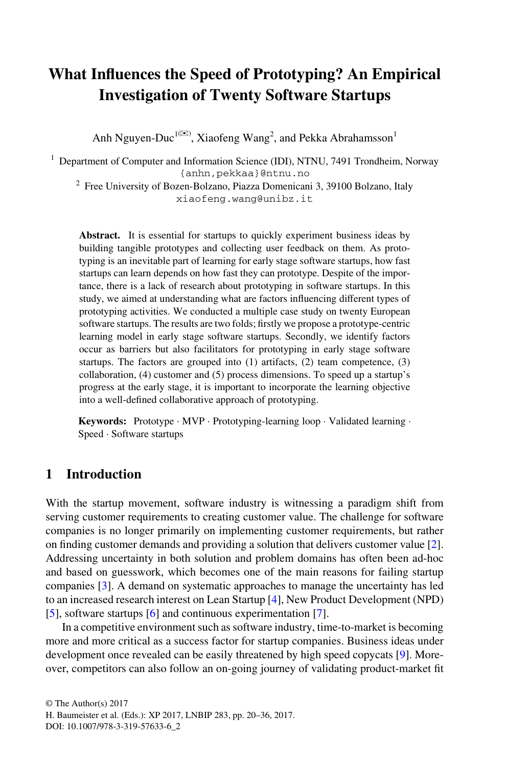# **What Influences the Speed of Prototyping? An Empirical Investigation of Twenty Software Startups**

Anh Nguyen-Duc<sup>1( $\approx$ )</sup>, Xiaofeng Wang<sup>2</sup>, and Pekka Abrahamsson<sup>1</sup>

<sup>1</sup> Department of Computer and Information Science (IDI), NTNU, 7491 Trondheim, Norway {anhn,pekkaa}@ntnu.no

<sup>2</sup> Free University of Bozen-Bolzano, Piazza Domenicani 3, 39100 Bolzano, Italy xiaofeng.wang@unibz.it

**Abstract.** It is essential for startups to quickly experiment business ideas by building tangible prototypes and collecting user feedback on them. As prototyping is an inevitable part of learning for early stage software startups, how fast startups can learn depends on how fast they can prototype. Despite of the importance, there is a lack of research about prototyping in software startups. In this study, we aimed at understanding what are factors influencing different types of prototyping activities. We conducted a multiple case study on twenty European software startups. The results are two folds; firstly we propose a prototype-centric learning model in early stage software startups. Secondly, we identify factors occur as barriers but also facilitators for prototyping in early stage software startups. The factors are grouped into  $(1)$  artifacts,  $(2)$  team competence,  $(3)$ collaboration, (4) customer and (5) process dimensions. To speed up a startup's progress at the early stage, it is important to incorporate the learning objective into a well-defined collaborative approach of prototyping.

**Keywords:** Prototype · MVP · Prototyping-learning loop · Validated learning · Speed · Software startups

# **1 Introduction**

With the startup movement, software industry is witnessing a paradigm shift from serving customer requirements to creating customer value. The challenge for software companies is no longer primarily on implementing customer requirements, but rather on finding customer demands and providing a solution that delivers customer value [[2\]](#page-14-0). Addressing uncertainty in both solution and problem domains has often been ad-hoc and based on guesswork, which becomes one of the main reasons for failing startup companies [\[3](#page-14-0)]. A demand on systematic approaches to manage the uncertainty has led to an increased research interest on Lean Startup [[4\]](#page-14-0), New Product Development (NPD) [\[5](#page-14-0)], software startups [\[6](#page-14-0)] and continuous experimentation [\[7](#page-14-0)].

In a competitive environment such as software industry, time-to-market is becoming more and more critical as a success factor for startup companies. Business ideas under development once revealed can be easily threatened by high speed copycats [\[9](#page-14-0)]. Moreover, competitors can also follow an on-going journey of validating product-market fit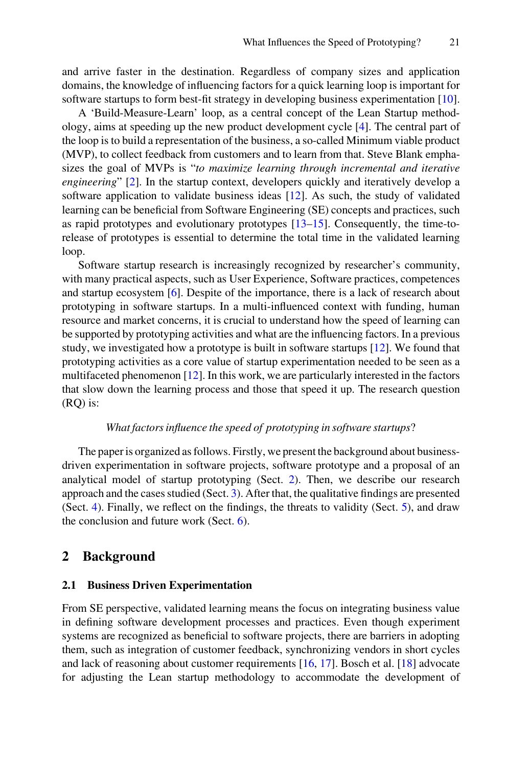and arrive faster in the destination. Regardless of company sizes and application domains, the knowledge of influencing factors for a quick learning loop is important for software startups to form best-fit strategy in developing business experimentation [[10\]](#page-14-0).

A 'Build-Measure-Learn' loop, as a central concept of the Lean Startup method‐ ology, aims at speeding up the new product development cycle [[4\]](#page-14-0). The central part of the loop is to build a representation of the business, a so-called Minimum viable product (MVP), to collect feedback from customers and to learn from that. Steve Blank empha‐ sizes the goal of MVPs is "*to maximize learning through incremental and iterative engineering*" [[2\]](#page-14-0). In the startup context, developers quickly and iteratively develop a software application to validate business ideas [[12](#page-14-0)]. As such, the study of validated learning can be beneficial from Software Engineering (SE) concepts and practices, such as rapid prototypes and evolutionary prototypes  $[13–15]$  $[13–15]$ . Consequently, the time-torelease of prototypes is essential to determine the total time in the validated learning loop.

Software startup research is increasingly recognized by researcher's community, with many practical aspects, such as User Experience, Software practices, competences and startup ecosystem [[6\]](#page-14-0). Despite of the importance, there is a lack of research about prototyping in software startups. In a multi-influenced context with funding, human resource and market concerns, it is crucial to understand how the speed of learning can be supported by prototyping activities and what are the influencing factors. In a previous study, we investigated how a prototype is built in software startups [[12\]](#page-14-0). We found that prototyping activities as a core value of startup experimentation needed to be seen as a multifaceted phenomenon [[12\]](#page-14-0). In this work, we are particularly interested in the factors that slow down the learning process and those that speed it up. The research question (RQ) is:

### *What factors influence the speed of prototyping in software startups*?

The paper is organized as follows. Firstly, we present the background about businessdriven experimentation in software projects, software prototype and a proposal of an analytical model of startup prototyping (Sect. 2). Then, we describe our research approach and the cases studied (Sect. [3\)](#page-4-0). After that, the qualitative findings are presented (Sect. [4\)](#page-7-0). Finally, we reflect on the findings, the threats to validity (Sect. [5\)](#page-12-0), and draw the conclusion and future work (Sect. [6](#page-13-0)).

### **2 Background**

#### **2.1 Business Driven Experimentation**

From SE perspective, validated learning means the focus on integrating business value in defining software development processes and practices. Even though experiment systems are recognized as beneficial to software projects, there are barriers in adopting them, such as integration of customer feedback, synchronizing vendors in short cycles and lack of reasoning about customer requirements [\[16, 17\]](#page-15-0). Bosch et al. [\[18](#page-15-0)] advocate for adjusting the Lean startup methodology to accommodate the development of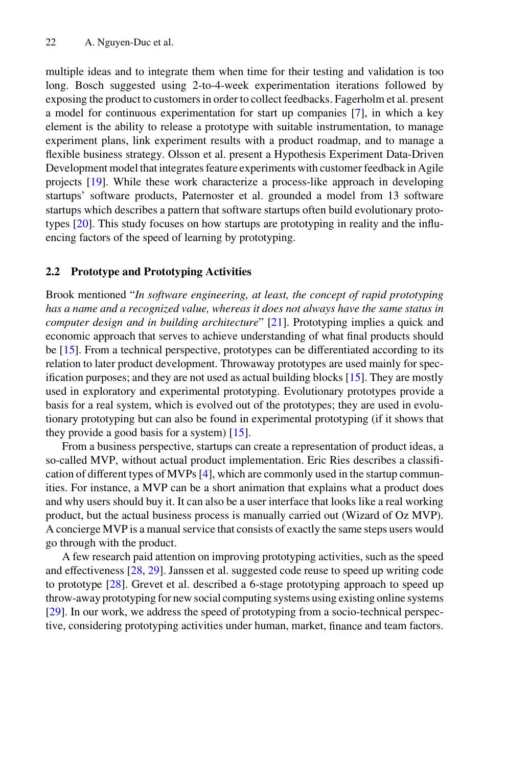<span id="page-2-0"></span>multiple ideas and to integrate them when time for their testing and validation is too long. Bosch suggested using 2-to-4-week experimentation iterations followed by exposing the product to customers in order to collect feedbacks. Fagerholm et al. present a model for continuous experimentation for start up companies [[7](#page-14-0)], in which a key element is the ability to release a prototype with suitable instrumentation, to manage experiment plans, link experiment results with a product roadmap, and to manage a flexible business strategy. Olsson et al. present a Hypothesis Experiment Data-Driven Development model that integrates feature experiments with customer feedback in Agile projects [[19\]](#page-15-0). While these work characterize a process-like approach in developing startups' software products, Paternoster et al. grounded a model from 13 software startups which describes a pattern that software startups often build evolutionary proto‐ types [[20\]](#page-15-0). This study focuses on how startups are prototyping in reality and the influencing factors of the speed of learning by prototyping.

### **2.2 Prototype and Prototyping Activities**

Brook mentioned "*In software engineering, at least, the concept of rapid prototyping has a name and a recognized value, whereas it does not always have the same status in computer design and in building architecture*" [[21\]](#page-15-0). Prototyping implies a quick and economic approach that serves to achieve understanding of what final products should be [\[15](#page-14-0)]. From a technical perspective, prototypes can be differentiated according to its relation to later product development. Throwaway prototypes are used mainly for spec‐ ification purposes; and they are not used as actual building blocks [\[15](#page-14-0)]. They are mostly used in exploratory and experimental prototyping. Evolutionary prototypes provide a basis for a real system, which is evolved out of the prototypes; they are used in evolutionary prototyping but can also be found in experimental prototyping (if it shows that they provide a good basis for a system) [\[15](#page-14-0)].

From a business perspective, startups can create a representation of product ideas, a so-called MVP, without actual product implementation. Eric Ries describes a classifi-cation of different types of MVPs [\[4](#page-14-0)], which are commonly used in the startup communities. For instance, a MVP can be a short animation that explains what a product does and why users should buy it. It can also be a user interface that looks like a real working product, but the actual business process is manually carried out (Wizard of Oz MVP). A concierge MVP is a manual service that consists of exactly the same steps users would go through with the product.

A few research paid attention on improving prototyping activities, such as the speed and effectiveness [[28,](#page-15-0) [29\]](#page-15-0). Janssen et al. suggested code reuse to speed up writing code to prototype [\[28](#page-15-0)]. Grevet et al. described a 6-stage prototyping approach to speed up throw-away prototyping for new social computing systems using existing online systems [\[29](#page-15-0)]. In our work, we address the speed of prototyping from a socio-technical perspective, considering prototyping activities under human, market, finance and team factors.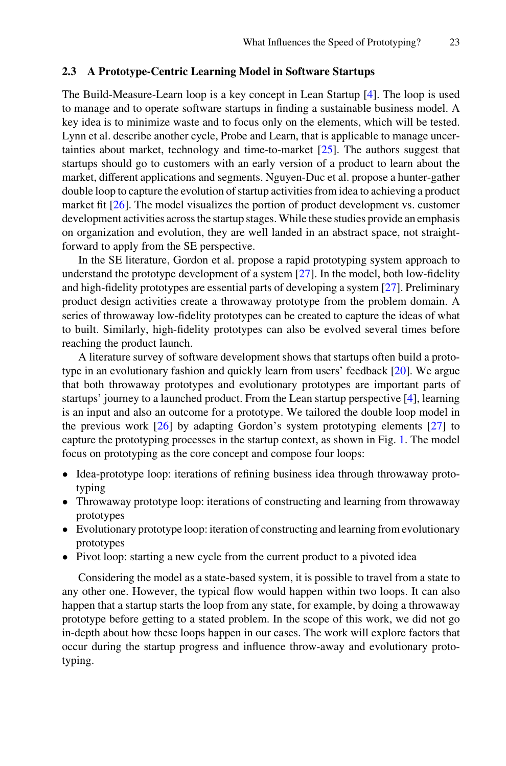#### **2.3 A Prototype-Centric Learning Model in Software Startups**

The Build-Measure-Learn loop is a key concept in Lean Startup [\[4\]](#page-14-0). The loop is used to manage and to operate software startups in finding a sustainable business model. A key idea is to minimize waste and to focus only on the elements, which will be tested. Lynn et al. describe another cycle, Probe and Learn, that is applicable to manage uncertainties about market, technology and time-to-market [\[25](#page-15-0)]. The authors suggest that startups should go to customers with an early version of a product to learn about the market, different applications and segments. Nguyen-Duc et al. propose a hunter-gather double loop to capture the evolution of startup activities from idea to achieving a product market fit [\[26](#page-15-0)]. The model visualizes the portion of product development vs. customer development activities across the startup stages. While these studies provide an emphasis on organization and evolution, they are well landed in an abstract space, not straightforward to apply from the SE perspective.

In the SE literature, Gordon et al. propose a rapid prototyping system approach to understand the prototype development of a system [[27\]](#page-15-0). In the model, both low-fidelity and high-fidelity prototypes are essential parts of developing a system [[27\]](#page-15-0). Preliminary product design activities create a throwaway prototype from the problem domain. A series of throwaway low-fidelity prototypes can be created to capture the ideas of what to built. Similarly, high-fidelity prototypes can also be evolved several times before reaching the product launch.

A literature survey of software development shows that startups often build a proto‐ type in an evolutionary fashion and quickly learn from users' feedback [[20\]](#page-15-0). We argue that both throwaway prototypes and evolutionary prototypes are important parts of startups' journey to a launched product. From the Lean startup perspective [[4\]](#page-14-0), learning is an input and also an outcome for a prototype. We tailored the double loop model in the previous work [[26\]](#page-15-0) by adapting Gordon's system prototyping elements [\[27](#page-15-0)] to capture the prototyping processes in the startup context, as shown in Fig. [1.](#page-4-0) The model focus on prototyping as the core concept and compose four loops:

- Idea-prototype loop: iterations of refining business idea through throwaway prototyping
- Throwaway prototype loop: iterations of constructing and learning from throwaway prototypes
- Evolutionary prototype loop: iteration of constructing and learning from evolutionary prototypes
- Pivot loop: starting a new cycle from the current product to a pivoted idea

Considering the model as a state-based system, it is possible to travel from a state to any other one. However, the typical flow would happen within two loops. It can also happen that a startup starts the loop from any state, for example, by doing a throwaway prototype before getting to a stated problem. In the scope of this work, we did not go in-depth about how these loops happen in our cases. The work will explore factors that occur during the startup progress and influence throw-away and evolutionary proto‐ typing.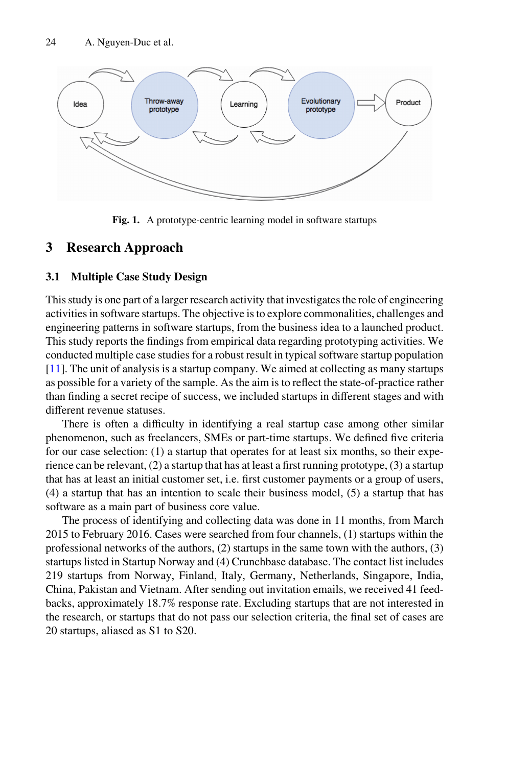<span id="page-4-0"></span>

**Fig. 1.** A prototype-centric learning model in software startups

# **3 Research Approach**

### **3.1 Multiple Case Study Design**

This study is one part of a larger research activity that investigates the role of engineering activities in software startups. The objective is to explore commonalities, challenges and engineering patterns in software startups, from the business idea to a launched product. This study reports the findings from empirical data regarding prototyping activities. We conducted multiple case studies for a robust result in typical software startup population [\[11](#page-14-0)]. The unit of analysis is a startup company. We aimed at collecting as many startups as possible for a variety of the sample. As the aim is to reflect the state-of-practice rather than finding a secret recipe of success, we included startups in different stages and with different revenue statuses.

There is often a difficulty in identifying a real startup case among other similar phenomenon, such as freelancers, SMEs or part-time startups. We defined five criteria for our case selection:  $(1)$  a startup that operates for at least six months, so their experience can be relevant, (2) a startup that has at least a first running prototype, (3) a startup that has at least an initial customer set, i.e. first customer payments or a group of users, (4) a startup that has an intention to scale their business model, (5) a startup that has software as a main part of business core value.

The process of identifying and collecting data was done in 11 months, from March 2015 to February 2016. Cases were searched from four channels, (1) startups within the professional networks of the authors, (2) startups in the same town with the authors, (3) startups listed in Startup Norway and (4) Crunchbase database. The contact list includes 219 startups from Norway, Finland, Italy, Germany, Netherlands, Singapore, India, China, Pakistan and Vietnam. After sending out invitation emails, we received 41 feed‐ backs, approximately 18.7% response rate. Excluding startups that are not interested in the research, or startups that do not pass our selection criteria, the final set of cases are 20 startups, aliased as S1 to S20.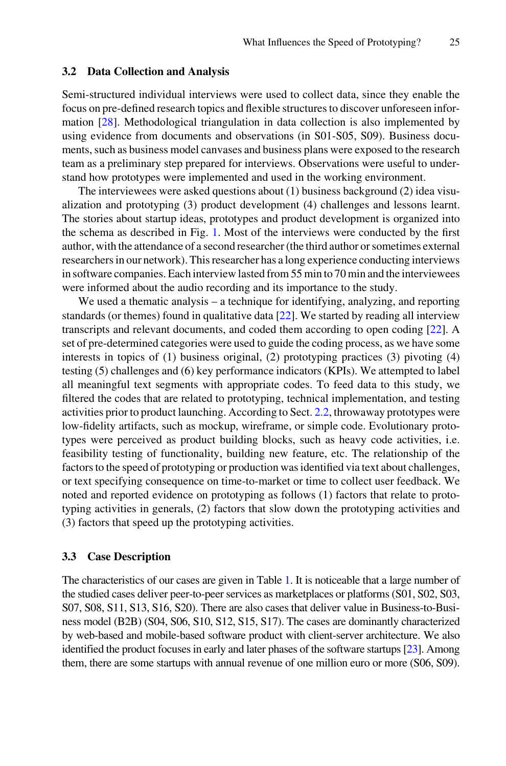#### **3.2 Data Collection and Analysis**

Semi-structured individual interviews were used to collect data, since they enable the focus on pre-defined research topics and flexible structures to discover unforeseen infor‐ mation [\[28\]](#page-15-0). Methodological triangulation in data collection is also implemented by using evidence from documents and observations (in S01-S05, S09). Business documents, such as business model canvases and business plans were exposed to the research team as a preliminary step prepared for interviews. Observations were useful to under‐ stand how prototypes were implemented and used in the working environment.

The interviewees were asked questions about  $(1)$  business background  $(2)$  idea visualization and prototyping (3) product development (4) challenges and lessons learnt. The stories about startup ideas, prototypes and product development is organized into the schema as described in Fig. [1](#page-4-0). Most of the interviews were conducted by the first author, with the attendance of a second researcher (the third author or sometimes external researchers in our network). This researcher has a long experience conducting interviews in software companies. Each interview lasted from 55 min to 70 min and the interviewees were informed about the audio recording and its importance to the study.

We used a thematic analysis – a technique for identifying, analyzing, and reporting standards (or themes) found in qualitative data [\[22\]](#page-15-0). We started by reading all interview transcripts and relevant documents, and coded them according to open coding [[22\]](#page-15-0). A set of pre-determined categories were used to guide the coding process, as we have some interests in topics of (1) business original, (2) prototyping practices (3) pivoting (4) testing (5) challenges and (6) key performance indicators (KPIs). We attempted to label all meaningful text segments with appropriate codes. To feed data to this study, we filtered the codes that are related to prototyping, technical implementation, and testing activities prior to product launching. According to Sect. [2.2,](#page-2-0) throwaway prototypes were low-fidelity artifacts, such as mockup, wireframe, or simple code. Evolutionary proto‐ types were perceived as product building blocks, such as heavy code activities, i.e. feasibility testing of functionality, building new feature, etc. The relationship of the factors to the speed of prototyping or production was identified via text about challenges, or text specifying consequence on time-to-market or time to collect user feedback. We noted and reported evidence on prototyping as follows (1) factors that relate to prototyping activities in generals, (2) factors that slow down the prototyping activities and (3) factors that speed up the prototyping activities.

### **3.3 Case Description**

The characteristics of our cases are given in Table [1](#page-6-0). It is noticeable that a large number of the studied cases deliver peer-to-peer services as marketplaces or platforms (S01, S02, S03, S07, S08, S11, S13, S16, S20). There are also cases that deliver value in Business-to-Busi‐ ness model (B2B) (S04, S06, S10, S12, S15, S17). The cases are dominantly characterized by web-based and mobile-based software product with client-server architecture. We also identified the product focuses in early and later phases of the software startups [[23\]](#page-15-0). Among them, there are some startups with annual revenue of one million euro or more (S06, S09).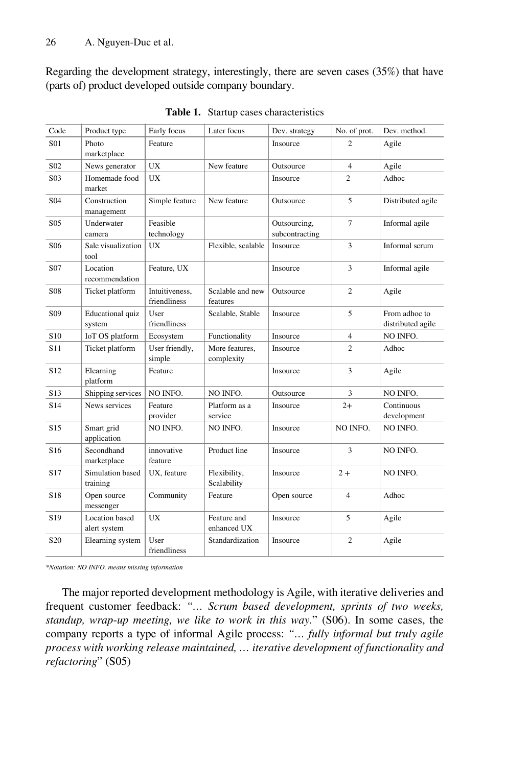<span id="page-6-0"></span>Regarding the development strategy, interestingly, there are seven cases (35%) that have (parts of) product developed outside company boundary.

| Code            | Product type                          | Early focus                    | Later focus                  | Dev. strategy                  | No. of prot.   | Dev. method.                       |
|-----------------|---------------------------------------|--------------------------------|------------------------------|--------------------------------|----------------|------------------------------------|
| S <sub>01</sub> | Photo<br>marketplace                  | Feature                        |                              | Insource                       | $\overline{c}$ | Agile                              |
| S <sub>02</sub> | News generator                        | <b>UX</b>                      | New feature                  | Outsource                      | $\overline{4}$ | Agile                              |
| S03             | Homemade food<br>market               | <b>UX</b>                      |                              | Insource                       | $\overline{c}$ | Adhoc                              |
| S <sub>04</sub> | Construction<br>management            | Simple feature                 | New feature                  | Outsource                      | 5              | Distributed agile                  |
| S <sub>05</sub> | Underwater<br>camera                  | Feasible<br>technology         |                              | Outsourcing,<br>subcontracting | $\overline{7}$ | Informal agile                     |
| S <sub>06</sub> | Sale visualization<br>tool            | UX                             | Flexible, scalable           | Insource                       | 3              | Informal scrum                     |
| S <sub>07</sub> | Location<br>recommendation            | Feature, UX                    |                              | Insource                       | 3              | Informal agile                     |
| S <sub>08</sub> | Ticket platform                       | Intuitiveness,<br>friendliness | Scalable and new<br>features | Outsource                      | $\overline{c}$ | Agile                              |
| S <sub>09</sub> | Educational quiz<br>system            | User<br>friendliness           | Scalable, Stable             | Insource                       | 5              | From adhoc to<br>distributed agile |
| S <sub>10</sub> | IoT OS platform                       | Ecosystem                      | Functionality                | Insource                       | $\overline{4}$ | NO INFO.                           |
| S <sub>11</sub> | Ticket platform                       | User friendly,<br>simple       | More features.<br>complexity | Insource                       | $\overline{c}$ | Adhoc                              |
| S <sub>12</sub> | Elearning<br>platform                 | Feature                        |                              | Insource                       | 3              | Agile                              |
| S <sub>13</sub> | Shipping services                     | NO INFO.                       | NO INFO.                     | <b>Outsource</b>               | 3              | NO INFO.                           |
| S <sub>14</sub> | News services                         | Feature<br>provider            | Platform as a<br>service     | Insource                       | $2+$           | Continuous<br>development          |
| S <sub>15</sub> | Smart grid<br>application             | NO INFO.                       | NO INFO.                     | <b>Insource</b>                | NO INFO.       | NO INFO.                           |
| S <sub>16</sub> | Secondhand<br>marketplace             | innovative<br>feature          | Product line                 | Insource                       | 3              | NO INFO.                           |
| S <sub>17</sub> | Simulation based<br>training          | UX, feature                    | Flexibility,<br>Scalability  | Insource                       | $2+$           | NO INFO.                           |
| S <sub>18</sub> | Open source<br>messenger              | Community                      | Feature                      | Open source                    | 4              | Adhoc                              |
| S <sub>19</sub> | <b>Location</b> based<br>alert system | <b>UX</b>                      | Feature and<br>enhanced UX   | <b>Insource</b>                | 5              | Agile                              |
| S <sub>20</sub> | Elearning system                      | User<br>friendliness           | Standardization              | Insource                       | $\mathbf{2}$   | Agile                              |

**Table 1.** Startup cases characteristics

*\*Notation: NO INFO. means missing information*

The major reported development methodology is Agile, with iterative deliveries and frequent customer feedback: *"… Scrum based development, sprints of two weeks, standup, wrap*-*up meeting, we like to work in this way.*" (S06). In some cases, the company reports a type of informal Agile process: *"… fully informal but truly agile process with working release maintained, … iterative development of functionality and refactoring*" (S05)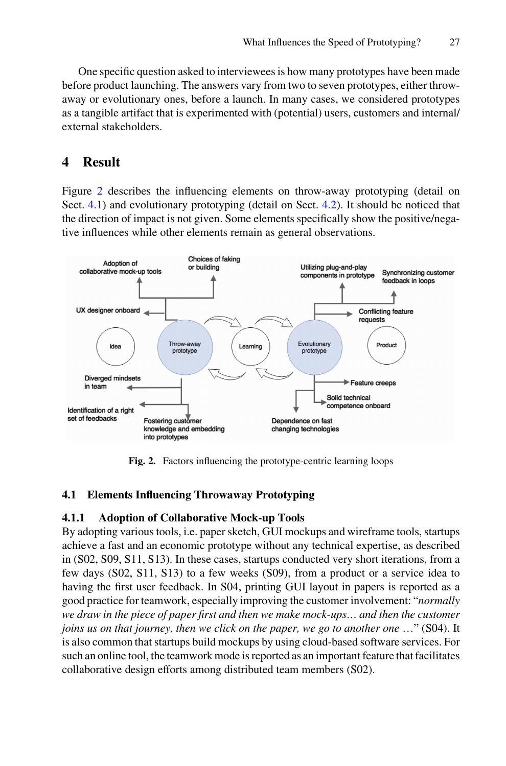<span id="page-7-0"></span>One specific question asked to interviewees is how many prototypes have been made before product launching. The answers vary from two to seven prototypes, either throwaway or evolutionary ones, before a launch. In many cases, we considered prototypes as a tangible artifact that is experimented with (potential) users, customers and internal/ external stakeholders.

# **4 Result**

Figure 2 describes the influencing elements on throw-away prototyping (detail on Sect. 4.1) and evolutionary prototyping (detail on Sect. [4.2](#page-10-0)). It should be noticed that the direction of impact is not given. Some elements specifically show the positive/negative influences while other elements remain as general observations.



**Fig. 2.** Factors influencing the prototype-centric learning loops

### **4.1 Elements Influencing Throwaway Prototyping**

### **4.1.1 Adoption of Collaborative Mock-up Tools**

By adopting various tools, i.e. paper sketch, GUI mockups and wireframe tools, startups achieve a fast and an economic prototype without any technical expertise, as described in (S02, S09, S11, S13). In these cases, startups conducted very short iterations, from a few days (S02, S11, S13) to a few weeks (S09), from a product or a service idea to having the first user feedback. In S04, printing GUI layout in papers is reported as a good practice for teamwork, especially improving the customer involvement: "*normally we draw in the piece of paper first and then we make mock*-*ups… and then the customer joins us on that journey, then we click on the paper, we go to another one* …" (S04). It is also common that startups build mockups by using cloud-based software services. For such an online tool, the teamwork mode is reported as an important feature that facilitates collaborative design efforts among distributed team members (S02).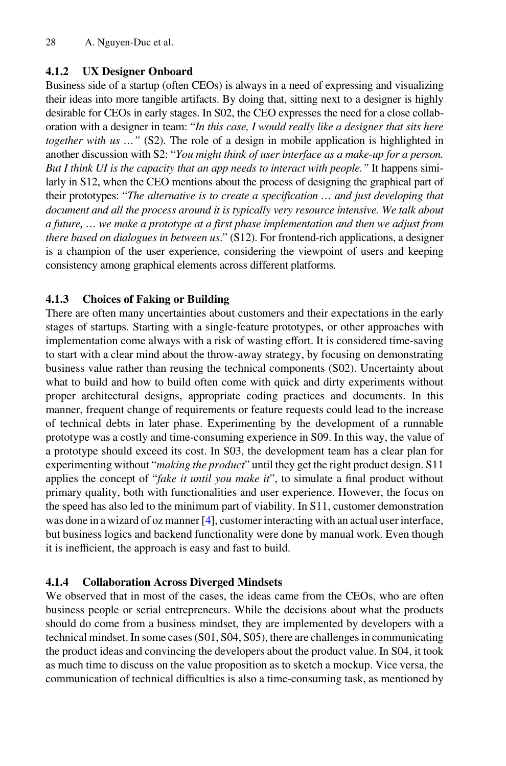### **4.1.2 UX Designer Onboard**

Business side of a startup (often CEOs) is always in a need of expressing and visualizing their ideas into more tangible artifacts. By doing that, sitting next to a designer is highly desirable for CEOs in early stages. In S02, the CEO expresses the need for a close collaboration with a designer in team: "*In this case, I would really like a designer that sits here together with us* ..." (S2). The role of a design in mobile application is highlighted in another discussion with S2: "*You might think of user interface as a make*-*up for a person. But I think UI is the capacity that an app needs to interact with people."* It happens simi‐ larly in S12, when the CEO mentions about the process of designing the graphical part of their prototypes: "*The alternative is to create a specification … and just developing that document and all the process around it is typically very resource intensive. We talk about a future, … we make a prototype at a first phase implementation and then we adjust from there based on dialogues in between us*." (S12). For frontend-rich applications, a designer is a champion of the user experience, considering the viewpoint of users and keeping consistency among graphical elements across different platforms.

# **4.1.3 Choices of Faking or Building**

There are often many uncertainties about customers and their expectations in the early stages of startups. Starting with a single-feature prototypes, or other approaches with implementation come always with a risk of wasting effort. It is considered time-saving to start with a clear mind about the throw-away strategy, by focusing on demonstrating business value rather than reusing the technical components (S02). Uncertainty about what to build and how to build often come with quick and dirty experiments without proper architectural designs, appropriate coding practices and documents. In this manner, frequent change of requirements or feature requests could lead to the increase of technical debts in later phase. Experimenting by the development of a runnable prototype was a costly and time-consuming experience in S09. In this way, the value of a prototype should exceed its cost. In S03, the development team has a clear plan for experimenting without "*making the product*" until they get the right product design. S11 applies the concept of "*fake it until you make it*", to simulate a final product without primary quality, both with functionalities and user experience. However, the focus on the speed has also led to the minimum part of viability. In S11, customer demonstration was done in a wizard of oz manner [\[4](#page-14-0)], customer interacting with an actual user interface, but business logics and backend functionality were done by manual work. Even though it is inefficient, the approach is easy and fast to build.

### **4.1.4 Collaboration Across Diverged Mindsets**

We observed that in most of the cases, the ideas came from the CEOs, who are often business people or serial entrepreneurs. While the decisions about what the products should do come from a business mindset, they are implemented by developers with a technical mindset. In some cases (S01, S04, S05), there are challenges in communicating the product ideas and convincing the developers about the product value. In S04, it took as much time to discuss on the value proposition as to sketch a mockup. Vice versa, the communication of technical difficulties is also a time-consuming task, as mentioned by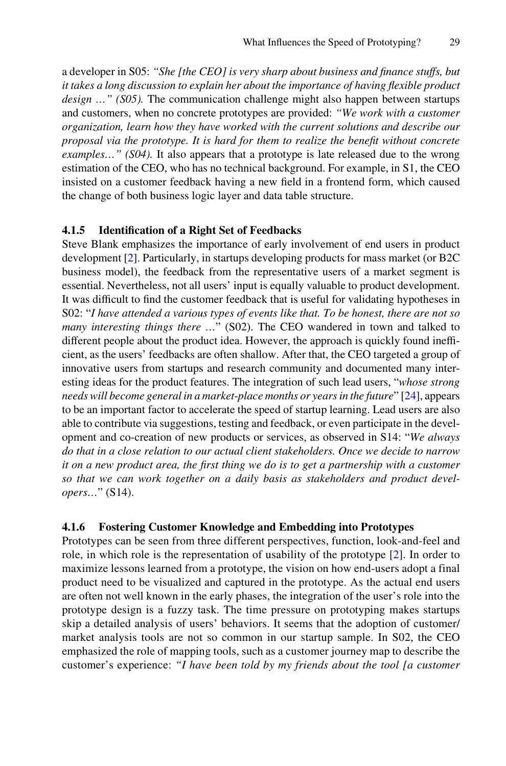a developer in S05: *"She [the CEO] is very sharp about business and finance stuffs, but it takes a long discussion to explain her about the importance of having flexible product design …" (S05).* The communication challenge might also happen between startups and customers, when no concrete prototypes are provided: *"We work with a customer organization, learn how they have worked with the current solutions and describe our proposal via the prototype. It is hard for them to realize the benefit without concrete examples…" (S04).* It also appears that a prototype is late released due to the wrong estimation of the CEO, who has no technical background. For example, in S1, the CEO insisted on a customer feedback having a new field in a frontend form, which caused the change of both business logic layer and data table structure.

### **4.1.5 Identification of a Right Set of Feedbacks**

Steve Blank emphasizes the importance of early involvement of end users in product development [[2\]](#page-14-0). Particularly, in startups developing products for mass market (or B2C business model), the feedback from the representative users of a market segment is essential. Nevertheless, not all users' input is equally valuable to product development. It was difficult to find the customer feedback that is useful for validating hypotheses in S02: "*I have attended a various types of events like that. To be honest, there are not so many interesting things there …*" (S02). The CEO wandered in town and talked to different people about the product idea. However, the approach is quickly found inefficient, as the users' feedbacks are often shallow. After that, the CEO targeted a group of innovative users from startups and research community and documented many interesting ideas for the product features. The integration of such lead users, "*whose strong needs will become general in a market*-*place months or years in the future*" [[24\]](#page-15-0), appears to be an important factor to accelerate the speed of startup learning. Lead users are also able to contribute via suggestions, testing and feedback, or even participate in the devel‐ opment and co-creation of new products or services, as observed in S14: "*We always do that in a close relation to our actual client stakeholders. Once we decide to narrow it on a new product area, the first thing we do is to get a partnership with a customer so that we can work together on a daily basis as stakeholders and product devel‐ opers…*" (S14).

### **4.1.6 Fostering Customer Knowledge and Embedding into Prototypes**

Prototypes can be seen from three different perspectives, function, look-and-feel and role, in which role is the representation of usability of the prototype [[2\]](#page-14-0). In order to maximize lessons learned from a prototype, the vision on how end-users adopt a final product need to be visualized and captured in the prototype. As the actual end users are often not well known in the early phases, the integration of the user's role into the prototype design is a fuzzy task. The time pressure on prototyping makes startups skip a detailed analysis of users' behaviors. It seems that the adoption of customer/ market analysis tools are not so common in our startup sample. In S02, the CEO emphasized the role of mapping tools, such as a customer journey map to describe the customer's experience: *"I have been told by my friends about the tool [a customer*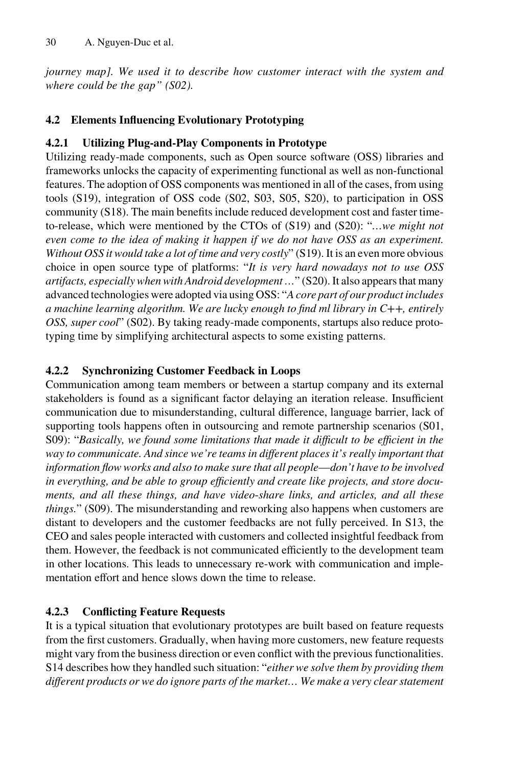<span id="page-10-0"></span>*journey map]. We used it to describe how customer interact with the system and where could be the gap" (S02).*

# **4.2 Elements Influencing Evolutionary Prototyping**

# **4.2.1 Utilizing Plug-and-Play Components in Prototype**

Utilizing ready-made components, such as Open source software (OSS) libraries and frameworks unlocks the capacity of experimenting functional as well as non-functional features. The adoption of OSS components was mentioned in all of the cases, from using tools (S19), integration of OSS code (S02, S03, S05, S20), to participation in OSS community (S18). The main benefits include reduced development cost and faster timeto-release, which were mentioned by the CTOs of (S19) and (S20): "*…we might not even come to the idea of making it happen if we do not have OSS as an experiment. Without OSS it would take a lot of time and very costly*" (S19). It is an even more obvious choice in open source type of platforms: "*It is very hard nowadays not to use OSS artifacts, especially when with Android development …*" (S20). It also appears that many advanced technologies were adopted via using OSS: "*A core part of our product includes a machine learning algorithm. We are lucky enough to find ml library in C*++*, entirely OSS, super cool*" (S02). By taking ready-made components, startups also reduce prototyping time by simplifying architectural aspects to some existing patterns.

# **4.2.2 Synchronizing Customer Feedback in Loops**

Communication among team members or between a startup company and its external stakeholders is found as a significant factor delaying an iteration release. Insufficient communication due to misunderstanding, cultural difference, language barrier, lack of supporting tools happens often in outsourcing and remote partnership scenarios (S01, S09): "*Basically, we found some limitations that made it difficult to be efficient in the way to communicate. And since we're teams in different places it's really important that information flow works and also to make sure that all people*—*don't have to be involved in everything, and be able to group efficiently and create like projects, and store docu‐ ments, and all these things, and have video*-*share links, and articles, and all these things.*" (S09). The misunderstanding and reworking also happens when customers are distant to developers and the customer feedbacks are not fully perceived. In S13, the CEO and sales people interacted with customers and collected insightful feedback from them. However, the feedback is not communicated efficiently to the development team in other locations. This leads to unnecessary re-work with communication and implementation effort and hence slows down the time to release.

# **4.2.3 Conflicting Feature Requests**

It is a typical situation that evolutionary prototypes are built based on feature requests from the first customers. Gradually, when having more customers, new feature requests might vary from the business direction or even conflict with the previous functionalities. S14 describes how they handled such situation: "*either we solve them by providing them different products or we do ignore parts of the market… We make a very clear statement*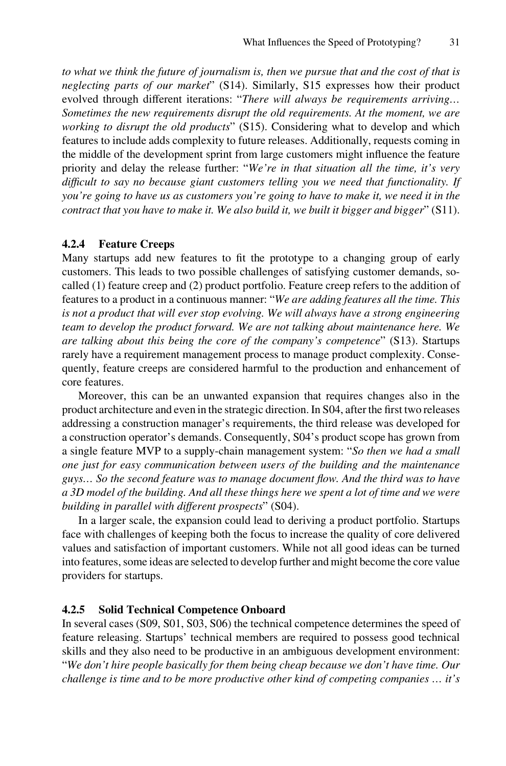<span id="page-11-0"></span>*to what we think the future of journalism is, then we pursue that and the cost of that is neglecting parts of our market*" (S14). Similarly, S15 expresses how their product evolved through different iterations: "*There will always be requirements arriving… Sometimes the new requirements disrupt the old requirements. At the moment, we are working to disrupt the old products*" (S15). Considering what to develop and which features to include adds complexity to future releases. Additionally, requests coming in the middle of the development sprint from large customers might influence the feature priority and delay the release further: "*We're in that situation all the time, it's very difficult to say no because giant customers telling you we need that functionality. If you're going to have us as customers you're going to have to make it, we need it in the contract that you have to make it. We also build it, we built it bigger and bigger*" (S11).

#### **4.2.4 Feature Creeps**

Many startups add new features to fit the prototype to a changing group of early customers. This leads to two possible challenges of satisfying customer demands, socalled (1) feature creep and (2) product portfolio. Feature creep refers to the addition of features to a product in a continuous manner: "*We are adding features all the time. This is not a product that will ever stop evolving. We will always have a strong engineering team to develop the product forward. We are not talking about maintenance here. We are talking about this being the core of the company's competence*" (S13). Startups rarely have a requirement management process to manage product complexity. Consequently, feature creeps are considered harmful to the production and enhancement of core features.

Moreover, this can be an unwanted expansion that requires changes also in the product architecture and even in the strategic direction. In S04, after the first two releases addressing a construction manager's requirements, the third release was developed for a construction operator's demands. Consequently, S04's product scope has grown from a single feature MVP to a supply-chain management system: "*So then we had a small one just for easy communication between users of the building and the maintenance guys… So the second feature was to manage document flow. And the third was to have a 3D model of the building. And all these things here we spent a lot of time and we were building in parallel with different prospects*" (S04).

In a larger scale, the expansion could lead to deriving a product portfolio. Startups face with challenges of keeping both the focus to increase the quality of core delivered values and satisfaction of important customers. While not all good ideas can be turned into features, some ideas are selected to develop further and might become the core value providers for startups.

#### **4.2.5 Solid Technical Competence Onboard**

In several cases (S09, S01, S03, S06) the technical competence determines the speed of feature releasing. Startups' technical members are required to possess good technical skills and they also need to be productive in an ambiguous development environment: "*We don't hire people basically for them being cheap because we don't have time. Our challenge is time and to be more productive other kind of competing companies … it's*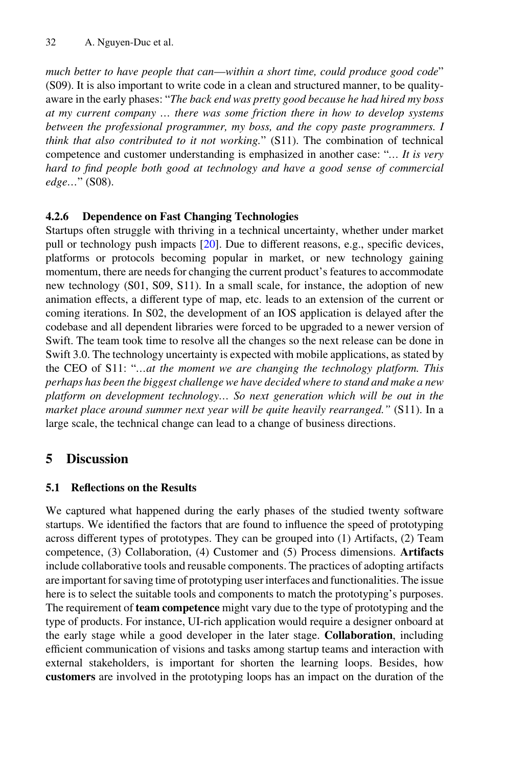<span id="page-12-0"></span>*much better to have people that can*—*within a short time, could produce good code*" (S09). It is also important to write code in a clean and structured manner, to be qualityaware in the early phases: "*The back end was pretty good because he had hired my boss at my current company … there was some friction there in how to develop systems between the professional programmer, my boss, and the copy paste programmers. I think that also contributed to it not working.*" (S11). The combination of technical competence and customer understanding is emphasized in another case: "*… It is very hard to find people both good at technology and have a good sense of commercial edge…*" (S08).

### **4.2.6 Dependence on Fast Changing Technologies**

Startups often struggle with thriving in a technical uncertainty, whether under market pull or technology push impacts [[20\]](#page-15-0). Due to different reasons, e.g., specific devices, platforms or protocols becoming popular in market, or new technology gaining momentum, there are needs for changing the current product's features to accommodate new technology (S01, S09, S11). In a small scale, for instance, the adoption of new animation effects, a different type of map, etc. leads to an extension of the current or coming iterations. In S02, the development of an IOS application is delayed after the codebase and all dependent libraries were forced to be upgraded to a newer version of Swift. The team took time to resolve all the changes so the next release can be done in Swift 3.0. The technology uncertainty is expected with mobile applications, as stated by the CEO of S11: "*…at the moment we are changing the technology platform. This perhaps has been the biggest challenge we have decided where to stand and make a new platform on development technology… So next generation which will be out in the market place around summer next year will be quite heavily rearranged."* (S11). In a large scale, the technical change can lead to a change of business directions.

# **5 Discussion**

### **5.1 Reflections on the Results**

We captured what happened during the early phases of the studied twenty software startups. We identified the factors that are found to influence the speed of prototyping across different types of prototypes. They can be grouped into (1) Artifacts, (2) Team competence, (3) Collaboration, (4) Customer and (5) Process dimensions. **Artifacts** include collaborative tools and reusable components. The practices of adopting artifacts are important for saving time of prototyping user interfaces and functionalities. The issue here is to select the suitable tools and components to match the prototyping's purposes. The requirement of **team competence** might vary due to the type of prototyping and the type of products. For instance, UI-rich application would require a designer onboard at the early stage while a good developer in the later stage. **Collaboration**, including efficient communication of visions and tasks among startup teams and interaction with external stakeholders, is important for shorten the learning loops. Besides, how **customers** are involved in the prototyping loops has an impact on the duration of the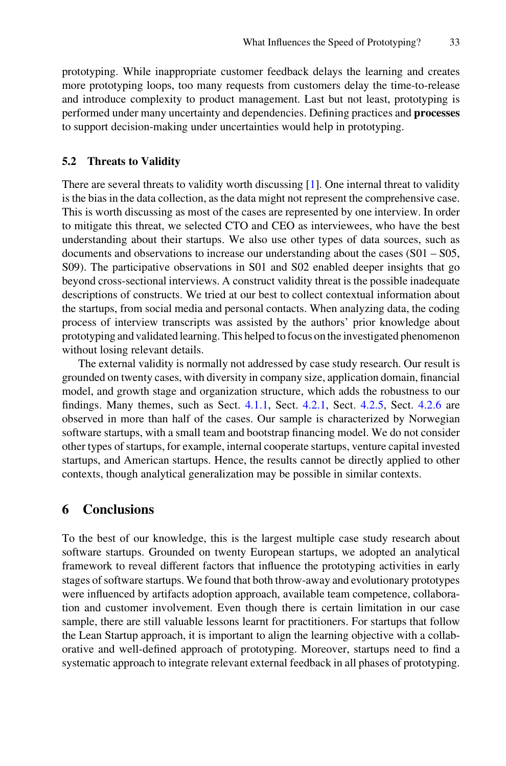<span id="page-13-0"></span>prototyping. While inappropriate customer feedback delays the learning and creates more prototyping loops, too many requests from customers delay the time-to-release and introduce complexity to product management. Last but not least, prototyping is performed under many uncertainty and dependencies. Defining practices and **processes** to support decision-making under uncertainties would help in prototyping.

### **5.2 Threats to Validity**

There are several threats to validity worth discussing [\[1](#page-14-0)]. One internal threat to validity is the bias in the data collection, as the data might not represent the comprehensive case. This is worth discussing as most of the cases are represented by one interview. In order to mitigate this threat, we selected CTO and CEO as interviewees, who have the best understanding about their startups. We also use other types of data sources, such as documents and observations to increase our understanding about the cases (S01 – S05, S09). The participative observations in S01 and S02 enabled deeper insights that go beyond cross-sectional interviews. A construct validity threat is the possible inadequate descriptions of constructs. We tried at our best to collect contextual information about the startups, from social media and personal contacts. When analyzing data, the coding process of interview transcripts was assisted by the authors' prior knowledge about prototyping and validated learning. This helped to focus on the investigated phenomenon without losing relevant details.

The external validity is normally not addressed by case study research. Our result is grounded on twenty cases, with diversity in company size, application domain, financial model, and growth stage and organization structure, which adds the robustness to our findings. Many themes, such as Sect. [4.1.1,](#page-7-0) Sect. [4.2.1](#page-10-0), Sect. [4.2.5](#page-11-0), Sect. [4.2.6](#page-12-0) are observed in more than half of the cases. Our sample is characterized by Norwegian software startups, with a small team and bootstrap financing model. We do not consider other types of startups, for example, internal cooperate startups, venture capital invested startups, and American startups. Hence, the results cannot be directly applied to other contexts, though analytical generalization may be possible in similar contexts.

### **6 Conclusions**

To the best of our knowledge, this is the largest multiple case study research about software startups. Grounded on twenty European startups, we adopted an analytical framework to reveal different factors that influence the prototyping activities in early stages of software startups. We found that both throw-away and evolutionary prototypes were influenced by artifacts adoption approach, available team competence, collaboration and customer involvement. Even though there is certain limitation in our case sample, there are still valuable lessons learnt for practitioners. For startups that follow the Lean Startup approach, it is important to align the learning objective with a collaborative and well-defined approach of prototyping. Moreover, startups need to find a systematic approach to integrate relevant external feedback in all phases of prototyping.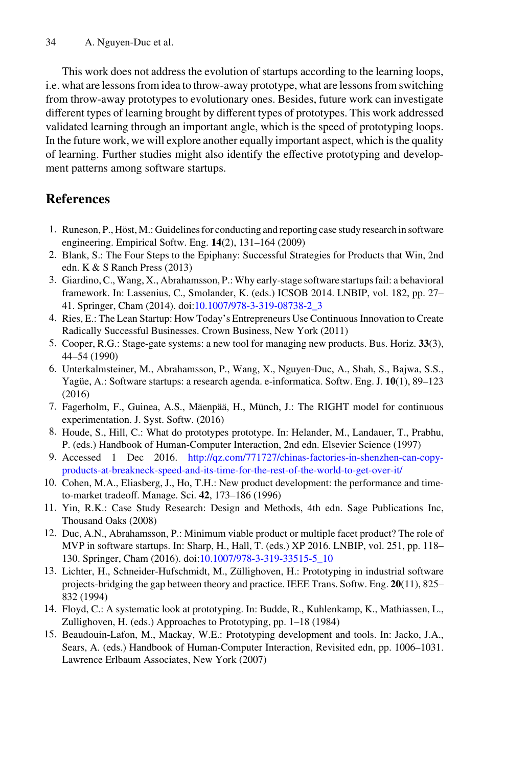<span id="page-14-0"></span>This work does not address the evolution of startups according to the learning loops, i.e. what are lessons from idea to throw-away prototype, what are lessons from switching from throw-away prototypes to evolutionary ones. Besides, future work can investigate different types of learning brought by different types of prototypes. This work addressed validated learning through an important angle, which is the speed of prototyping loops. In the future work, we will explore another equally important aspect, which is the quality of learning. Further studies might also identify the effective prototyping and develop‐ ment patterns among software startups.

# **References**

- 1. Runeson, P., Höst, M.: Guidelines for conducting and reporting case study research in software engineering. Empirical Softw. Eng. **14**(2), 131–164 (2009)
- 2. Blank, S.: The Four Steps to the Epiphany: Successful Strategies for Products that Win, 2nd edn. K & S Ranch Press (2013)
- 3. Giardino, C., Wang, X., Abrahamsson, P.: Why early-stage software startups fail: a behavioral framework. In: Lassenius, C., Smolander, K. (eds.) ICSOB 2014. LNBIP, vol. 182, pp. 27– 41. Springer, Cham (2014). doi[:10.1007/978-3-319-08738-2\\_3](http://dx.doi.org/10.1007/978-3-319-08738-2_3)
- 4. Ries, E.: The Lean Startup: How Today's Entrepreneurs Use Continuous Innovation to Create Radically Successful Businesses. Crown Business, New York (2011)
- 5. Cooper, R.G.: Stage-gate systems: a new tool for managing new products. Bus. Horiz. **33**(3), 44–54 (1990)
- 6. Unterkalmsteiner, M., Abrahamsson, P., Wang, X., Nguyen-Duc, A., Shah, S., Bajwa, S.S., Yagüe, A.: Software startups: a research agenda. e-informatica. Softw. Eng. J. **10**(1), 89–123 (2016)
- 7. Fagerholm, F., Guinea, A.S., Mäenpää, H., Münch, J.: The RIGHT model for continuous experimentation. J. Syst. Softw. (2016)
- 8. Houde, S., Hill, C.: What do prototypes prototype. In: Helander, M., Landauer, T., Prabhu, P. (eds.) Handbook of Human-Computer Interaction, 2nd edn. Elsevier Science (1997)
- 9. Accessed 1 Dec 2016. [http://qz.com/771727/chinas-factories-in-shenzhen-can-copy](http://qz.com/771727/chinas-factories-in-shenzhen-can-copy-products-at-breakneck-speed-and-its-time-for-the-rest-of-the-world-to-get-over-it/)[products-at-breakneck-speed-and-its-time-for-the-rest-of-the-world-to-get-over-it/](http://qz.com/771727/chinas-factories-in-shenzhen-can-copy-products-at-breakneck-speed-and-its-time-for-the-rest-of-the-world-to-get-over-it/)
- 10. Cohen, M.A., Eliasberg, J., Ho, T.H.: New product development: the performance and timeto-market tradeoff. Manage. Sci. **42**, 173–186 (1996)
- 11. Yin, R.K.: Case Study Research: Design and Methods, 4th edn. Sage Publications Inc, Thousand Oaks (2008)
- 12. Duc, A.N., Abrahamsson, P.: Minimum viable product or multiple facet product? The role of MVP in software startups. In: Sharp, H., Hall, T. (eds.) XP 2016. LNBIP, vol. 251, pp. 118– 130. Springer, Cham (2016). doi:[10.1007/978-3-319-33515-5\\_10](http://dx.doi.org/10.1007/978-3-319-33515-5_10)
- 13. Lichter, H., Schneider-Hufschmidt, M., Züllighoven, H.: Prototyping in industrial software projects-bridging the gap between theory and practice. IEEE Trans. Softw. Eng. **20**(11), 825– 832 (1994)
- 14. Floyd, C.: A systematic look at prototyping. In: Budde, R., Kuhlenkamp, K., Mathiassen, L., Zullighoven, H. (eds.) Approaches to Prototyping, pp. 1–18 (1984)
- 15. Beaudouin-Lafon, M., Mackay, W.E.: Prototyping development and tools. In: Jacko, J.A., Sears, A. (eds.) Handbook of Human-Computer Interaction, Revisited edn, pp. 1006–1031. Lawrence Erlbaum Associates, New York (2007)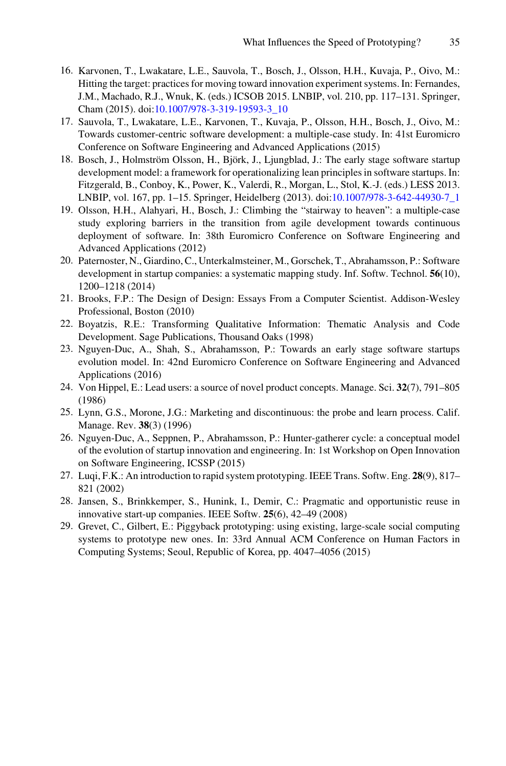- <span id="page-15-0"></span>16. Karvonen, T., Lwakatare, L.E., Sauvola, T., Bosch, J., Olsson, H.H., Kuvaja, P., Oivo, M.: Hitting the target: practices for moving toward innovation experiment systems. In: Fernandes, J.M., Machado, R.J., Wnuk, K. (eds.) ICSOB 2015. LNBIP, vol. 210, pp. 117–131. Springer, Cham (2015). doi[:10.1007/978-3-319-19593-3\\_10](http://dx.doi.org/10.1007/978-3-319-19593-3_10)
- 17. Sauvola, T., Lwakatare, L.E., Karvonen, T., Kuvaja, P., Olsson, H.H., Bosch, J., Oivo, M.: Towards customer-centric software development: a multiple-case study. In: 41st Euromicro Conference on Software Engineering and Advanced Applications (2015)
- 18. Bosch, J., Holmström Olsson, H., Björk, J., Ljungblad, J.: The early stage software startup development model: a framework for operationalizing lean principles in software startups. In: Fitzgerald, B., Conboy, K., Power, K., Valerdi, R., Morgan, L., Stol, K.-J. (eds.) LESS 2013. LNBIP, vol. 167, pp. 1–15. Springer, Heidelberg (2013). doi[:10.1007/978-3-642-44930-7\\_1](http://dx.doi.org/10.1007/978-3-642-44930-7_1)
- 19. Olsson, H.H., Alahyari, H., Bosch, J.: Climbing the "stairway to heaven": a multiple-case study exploring barriers in the transition from agile development towards continuous deployment of software. In: 38th Euromicro Conference on Software Engineering and Advanced Applications (2012)
- 20. Paternoster, N., Giardino, C., Unterkalmsteiner, M., Gorschek, T., Abrahamsson, P.: Software development in startup companies: a systematic mapping study. Inf. Softw. Technol. **56**(10), 1200–1218 (2014)
- 21. Brooks, F.P.: The Design of Design: Essays From a Computer Scientist. Addison-Wesley Professional, Boston (2010)
- 22. Boyatzis, R.E.: Transforming Qualitative Information: Thematic Analysis and Code Development. Sage Publications, Thousand Oaks (1998)
- 23. Nguyen-Duc, A., Shah, S., Abrahamsson, P.: Towards an early stage software startups evolution model. In: 42nd Euromicro Conference on Software Engineering and Advanced Applications (2016)
- 24. Von Hippel, E.: Lead users: a source of novel product concepts. Manage. Sci. **32**(7), 791–805 (1986)
- 25. Lynn, G.S., Morone, J.G.: Marketing and discontinuous: the probe and learn process. Calif. Manage. Rev. **38**(3) (1996)
- 26. Nguyen-Duc, A., Seppnen, P., Abrahamsson, P.: Hunter-gatherer cycle: a conceptual model of the evolution of startup innovation and engineering. In: 1st Workshop on Open Innovation on Software Engineering, ICSSP (2015)
- 27. Luqi, F.K.: An introduction to rapid system prototyping. IEEE Trans. Softw. Eng. **28**(9), 817– 821 (2002)
- 28. Jansen, S., Brinkkemper, S., Hunink, I., Demir, C.: Pragmatic and opportunistic reuse in innovative start-up companies. IEEE Softw. **25**(6), 42–49 (2008)
- 29. Grevet, C., Gilbert, E.: Piggyback prototyping: using existing, large-scale social computing systems to prototype new ones. In: 33rd Annual ACM Conference on Human Factors in Computing Systems; Seoul, Republic of Korea, pp. 4047–4056 (2015)